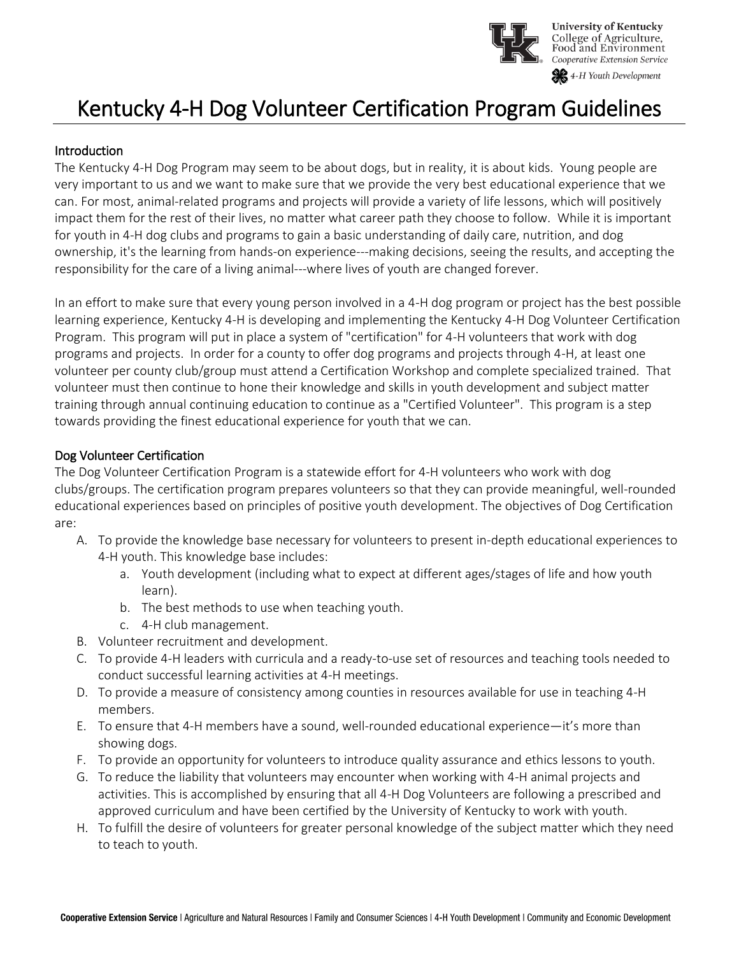

# Kentucky 4-H Dog Volunteer Certification Program Guidelines

#### **Introduction**

The Kentucky 4-H Dog Program may seem to be about dogs, but in reality, it is about kids. Young people are very important to us and we want to make sure that we provide the very best educational experience that we can. For most, animal-related programs and projects will provide a variety of life lessons, which will positively impact them for the rest of their lives, no matter what career path they choose to follow. While it is important for youth in 4-H dog clubs and programs to gain a basic understanding of daily care, nutrition, and dog ownership, it's the learning from hands-on experience---making decisions, seeing the results, and accepting the responsibility for the care of a living animal---where lives of youth are changed forever.

In an effort to make sure that every young person involved in a 4-H dog program or project has the best possible learning experience, Kentucky 4-H is developing and implementing the Kentucky 4-H Dog Volunteer Certification Program. This program will put in place a system of "certification" for 4-H volunteers that work with dog programs and projects. In order for a county to offer dog programs and projects through 4-H, at least one volunteer per county club/group must attend a Certification Workshop and complete specialized trained. That volunteer must then continue to hone their knowledge and skills in youth development and subject matter training through annual continuing education to continue as a "Certified Volunteer". This program is a step towards providing the finest educational experience for youth that we can.

#### Dog Volunteer Certification

The Dog Volunteer Certification Program is a statewide effort for 4-H volunteers who work with dog clubs/groups. The certification program prepares volunteers so that they can provide meaningful, well-rounded educational experiences based on principles of positive youth development. The objectives of Dog Certification are:

- A. To provide the knowledge base necessary for volunteers to present in-depth educational experiences to 4-H youth. This knowledge base includes:
	- a. Youth development (including what to expect at different ages/stages of life and how youth learn).
	- b. The best methods to use when teaching youth.
	- c. 4-H club management.
- B. Volunteer recruitment and development.
- C. To provide 4-H leaders with curricula and a ready-to-use set of resources and teaching tools needed to conduct successful learning activities at 4-H meetings.
- D. To provide a measure of consistency among counties in resources available for use in teaching 4-H members.
- E. To ensure that 4-H members have a sound, well-rounded educational experience—it's more than showing dogs.
- F. To provide an opportunity for volunteers to introduce quality assurance and ethics lessons to youth.
- G. To reduce the liability that volunteers may encounter when working with 4-H animal projects and activities. This is accomplished by ensuring that all 4-H Dog Volunteers are following a prescribed and approved curriculum and have been certified by the University of Kentucky to work with youth.
- H. To fulfill the desire of volunteers for greater personal knowledge of the subject matter which they need to teach to youth.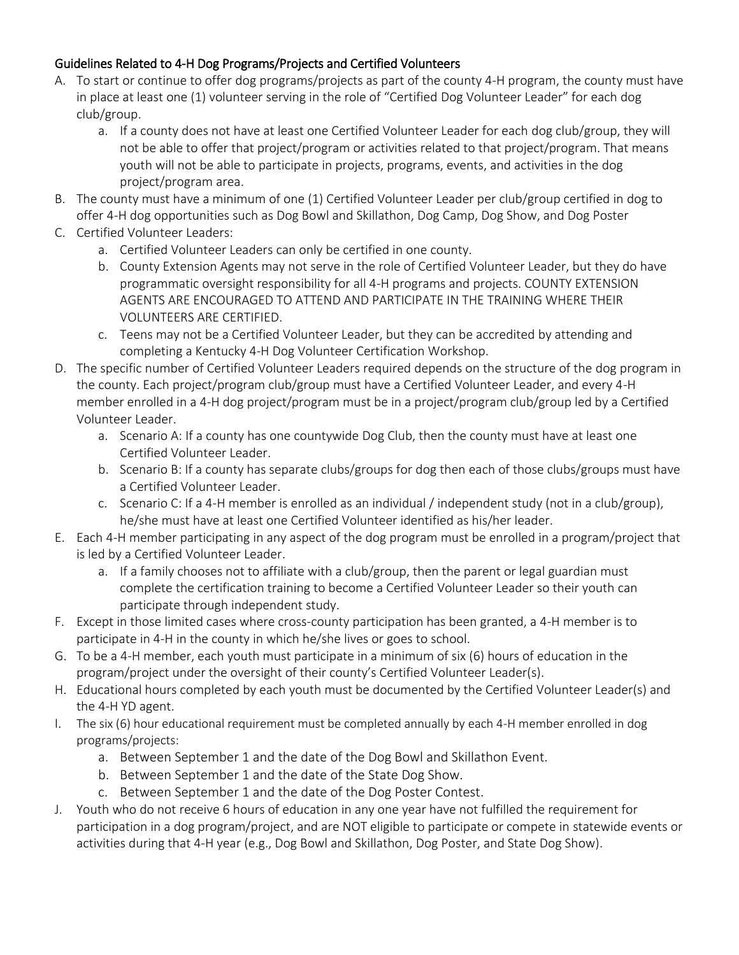## Guidelines Related to 4-H Dog Programs/Projects and Certified Volunteers

- A. To start or continue to offer dog programs/projects as part of the county 4-H program, the county must have in place at least one (1) volunteer serving in the role of "Certified Dog Volunteer Leader" for each dog club/group.
	- a. If a county does not have at least one Certified Volunteer Leader for each dog club/group, they will not be able to offer that project/program or activities related to that project/program. That means youth will not be able to participate in projects, programs, events, and activities in the dog project/program area.
- B. The county must have a minimum of one (1) Certified Volunteer Leader per club/group certified in dog to offer 4-H dog opportunities such as Dog Bowl and Skillathon, Dog Camp, Dog Show, and Dog Poster
- C. Certified Volunteer Leaders:
	- a. Certified Volunteer Leaders can only be certified in one county.
	- b. County Extension Agents may not serve in the role of Certified Volunteer Leader, but they do have programmatic oversight responsibility for all 4-H programs and projects. COUNTY EXTENSION AGENTS ARE ENCOURAGED TO ATTEND AND PARTICIPATE IN THE TRAINING WHERE THEIR VOLUNTEERS ARE CERTIFIED.
	- c. Teens may not be a Certified Volunteer Leader, but they can be accredited by attending and completing a Kentucky 4-H Dog Volunteer Certification Workshop.
- D. The specific number of Certified Volunteer Leaders required depends on the structure of the dog program in the county. Each project/program club/group must have a Certified Volunteer Leader, and every 4-H member enrolled in a 4-H dog project/program must be in a project/program club/group led by a Certified Volunteer Leader.
	- a. Scenario A: If a county has one countywide Dog Club, then the county must have at least one Certified Volunteer Leader.
	- b. Scenario B: If a county has separate clubs/groups for dog then each of those clubs/groups must have a Certified Volunteer Leader.
	- c. Scenario C: If a 4-H member is enrolled as an individual / independent study (not in a club/group), he/she must have at least one Certified Volunteer identified as his/her leader.
- E. Each 4-H member participating in any aspect of the dog program must be enrolled in a program/project that is led by a Certified Volunteer Leader.
	- a. If a family chooses not to affiliate with a club/group, then the parent or legal guardian must complete the certification training to become a Certified Volunteer Leader so their youth can participate through independent study.
- F. Except in those limited cases where cross-county participation has been granted, a 4-H member is to participate in 4-H in the county in which he/she lives or goes to school.
- G. To be a 4-H member, each youth must participate in a minimum of six (6) hours of education in the program/project under the oversight of their county's Certified Volunteer Leader(s).
- H. Educational hours completed by each youth must be documented by the Certified Volunteer Leader(s) and the 4-H YD agent.
- I. The six (6) hour educational requirement must be completed annually by each 4-H member enrolled in dog programs/projects:
	- a. Between September 1 and the date of the Dog Bowl and Skillathon Event.
	- b. Between September 1 and the date of the State Dog Show.
	- c. Between September 1 and the date of the Dog Poster Contest.
- J. Youth who do not receive 6 hours of education in any one year have not fulfilled the requirement for participation in a dog program/project, and are NOT eligible to participate or compete in statewide events or activities during that 4-H year (e.g., Dog Bowl and Skillathon, Dog Poster, and State Dog Show).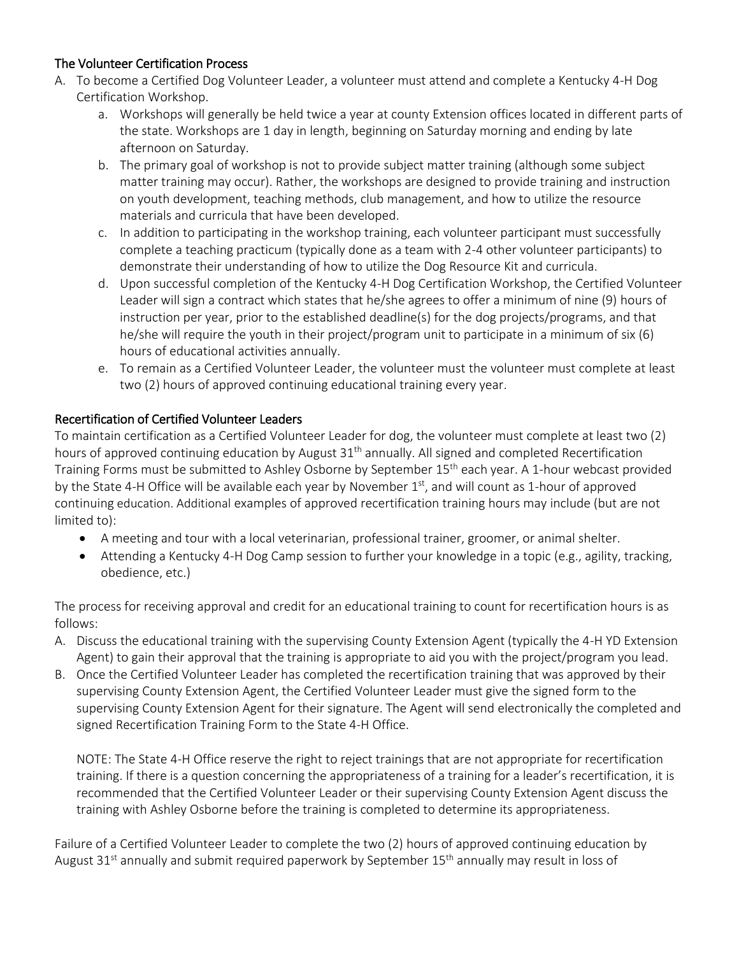### The Volunteer Certification Process

- A. To become a Certified Dog Volunteer Leader, a volunteer must attend and complete a Kentucky 4-H Dog Certification Workshop.
	- a. Workshops will generally be held twice a year at county Extension offices located in different parts of the state. Workshops are 1 day in length, beginning on Saturday morning and ending by late afternoon on Saturday.
	- b. The primary goal of workshop is not to provide subject matter training (although some subject matter training may occur). Rather, the workshops are designed to provide training and instruction on youth development, teaching methods, club management, and how to utilize the resource materials and curricula that have been developed.
	- c. In addition to participating in the workshop training, each volunteer participant must successfully complete a teaching practicum (typically done as a team with 2-4 other volunteer participants) to demonstrate their understanding of how to utilize the Dog Resource Kit and curricula.
	- d. Upon successful completion of the Kentucky 4-H Dog Certification Workshop, the Certified Volunteer Leader will sign a contract which states that he/she agrees to offer a minimum of nine (9) hours of instruction per year, prior to the established deadline(s) for the dog projects/programs, and that he/she will require the youth in their project/program unit to participate in a minimum of six (6) hours of educational activities annually.
	- e. To remain as a Certified Volunteer Leader, the volunteer must the volunteer must complete at least two (2) hours of approved continuing educational training every year.

#### Recertification of Certified Volunteer Leaders

To maintain certification as a Certified Volunteer Leader for dog, the volunteer must complete at least two (2) hours of approved continuing education by August 31<sup>th</sup> annually. All signed and completed Recertification Training Forms must be submitted to Ashley Osborne by September 15<sup>th</sup> each year. A 1-hour webcast provided by the State 4-H Office will be available each year by November 1<sup>st</sup>, and will count as 1-hour of approved continuing education. Additional examples of approved recertification training hours may include (but are not limited to):

- A meeting and tour with a local veterinarian, professional trainer, groomer, or animal shelter.
- Attending a Kentucky 4-H Dog Camp session to further your knowledge in a topic (e.g., agility, tracking, obedience, etc.)

The process for receiving approval and credit for an educational training to count for recertification hours is as follows:

- A. Discuss the educational training with the supervising County Extension Agent (typically the 4-H YD Extension Agent) to gain their approval that the training is appropriate to aid you with the project/program you lead.
- B. Once the Certified Volunteer Leader has completed the recertification training that was approved by their supervising County Extension Agent, the Certified Volunteer Leader must give the signed form to the supervising County Extension Agent for their signature. The Agent will send electronically the completed and signed Recertification Training Form to the State 4-H Office.

NOTE: The State 4-H Office reserve the right to reject trainings that are not appropriate for recertification training. If there is a question concerning the appropriateness of a training for a leader's recertification, it is recommended that the Certified Volunteer Leader or their supervising County Extension Agent discuss the training with Ashley Osborne before the training is completed to determine its appropriateness.

Failure of a Certified Volunteer Leader to complete the two (2) hours of approved continuing education by August 31<sup>st</sup> annually and submit required paperwork by September 15<sup>th</sup> annually may result in loss of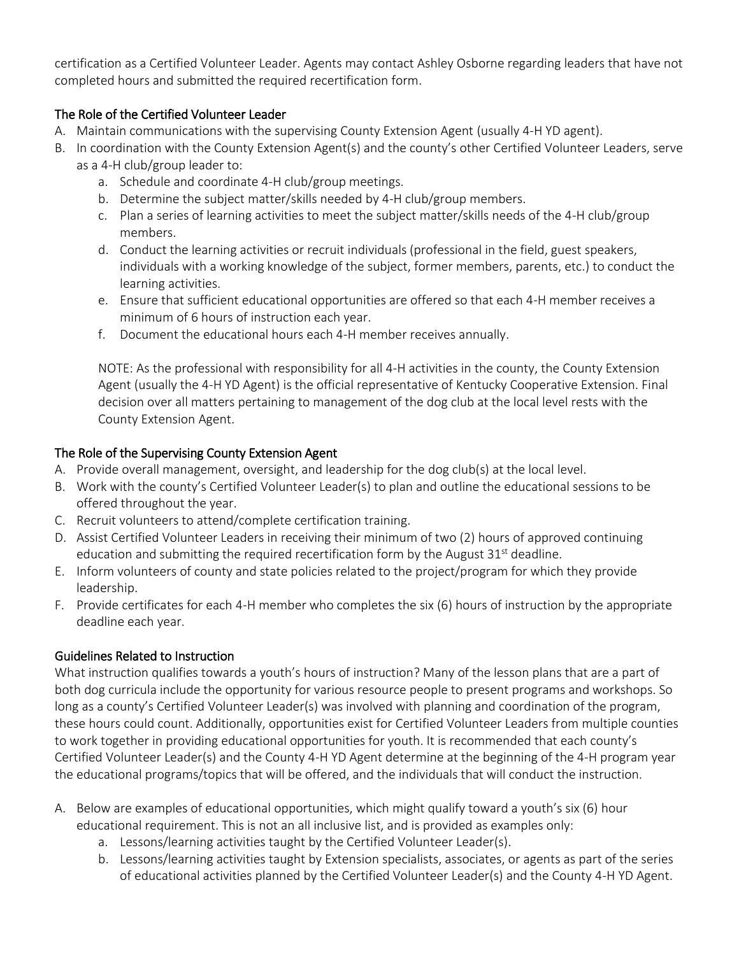certification as a Certified Volunteer Leader. Agents may contact Ashley Osborne regarding leaders that have not completed hours and submitted the required recertification form.

## The Role of the Certified Volunteer Leader

- A. Maintain communications with the supervising County Extension Agent (usually 4-H YD agent).
- B. In coordination with the County Extension Agent(s) and the county's other Certified Volunteer Leaders, serve as a 4-H club/group leader to:
	- a. Schedule and coordinate 4-H club/group meetings.
	- b. Determine the subject matter/skills needed by 4-H club/group members.
	- c. Plan a series of learning activities to meet the subject matter/skills needs of the 4-H club/group members.
	- d. Conduct the learning activities or recruit individuals (professional in the field, guest speakers, individuals with a working knowledge of the subject, former members, parents, etc.) to conduct the learning activities.
	- e. Ensure that sufficient educational opportunities are offered so that each 4-H member receives a minimum of 6 hours of instruction each year.
	- f. Document the educational hours each 4-H member receives annually.

NOTE: As the professional with responsibility for all 4-H activities in the county, the County Extension Agent (usually the 4-H YD Agent) is the official representative of Kentucky Cooperative Extension. Final decision over all matters pertaining to management of the dog club at the local level rests with the County Extension Agent.

## The Role of the Supervising County Extension Agent

- A. Provide overall management, oversight, and leadership for the dog club(s) at the local level.
- B. Work with the county's Certified Volunteer Leader(s) to plan and outline the educational sessions to be offered throughout the year.
- C. Recruit volunteers to attend/complete certification training.
- D. Assist Certified Volunteer Leaders in receiving their minimum of two (2) hours of approved continuing education and submitting the required recertification form by the August  $31<sup>st</sup>$  deadline.
- E. Inform volunteers of county and state policies related to the project/program for which they provide leadership.
- F. Provide certificates for each 4-H member who completes the six (6) hours of instruction by the appropriate deadline each year.

## Guidelines Related to Instruction

What instruction qualifies towards a youth's hours of instruction? Many of the lesson plans that are a part of both dog curricula include the opportunity for various resource people to present programs and workshops. So long as a county's Certified Volunteer Leader(s) was involved with planning and coordination of the program, these hours could count. Additionally, opportunities exist for Certified Volunteer Leaders from multiple counties to work together in providing educational opportunities for youth. It is recommended that each county's Certified Volunteer Leader(s) and the County 4-H YD Agent determine at the beginning of the 4-H program year the educational programs/topics that will be offered, and the individuals that will conduct the instruction.

- A. Below are examples of educational opportunities, which might qualify toward a youth's six (6) hour educational requirement. This is not an all inclusive list, and is provided as examples only:
	- a. Lessons/learning activities taught by the Certified Volunteer Leader(s).
	- b. Lessons/learning activities taught by Extension specialists, associates, or agents as part of the series of educational activities planned by the Certified Volunteer Leader(s) and the County 4-H YD Agent.